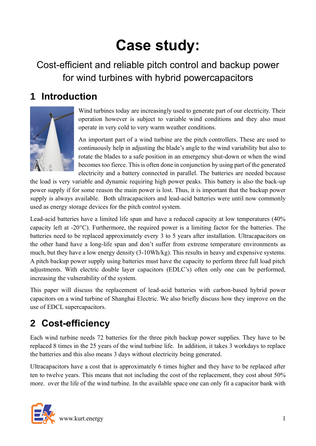# **Case study:**

Cost-efficient and reliable pitch control and backup power for wind turbines with hybrid powercapacitors

## **1 Introduction**



Wind turbines today are increasingly used to generate part of our electricity. Their operation however is subject to variable wind conditions and they also must operate in very cold to very warm weather conditions.

An important part of a wind turbine are the pitch controllers. These are used to continuously help in adjusting the blade's angle to the wind variability but also to rotate the blades to a safe position in an emergency shut-down or when the wind becomes too fierce. This is often done in conjunction by using part of the generated electricity and a battery connected in parallel. The batteries are needed because

the load is very variable and dynamic requiring high power peaks. This battery is also the back-up power supply if for some reason the main power is lost. Thus, it is important that the backup power supply is always available. Both ultracapacitors and lead-acid batteries were until now commonly used as energy storage devices for the pitch control system.

Lead-acid batteries have a limited life span and have a reduced capacity at low temperatures (40% capacity left at -20°C). Furthermore, the required power is a limiting factor for the batteries. The batteries need to be replaced approximately every 3 to 5 years after installation. Ultracapacitors on the other hand have a long-life span and don't suffer from extreme temperature environments as much, but they have a low energy density (3-10Wh/kg). This results in heavy and expensive systems. A pitch backup power supply using batteries must have the capacity to perform three full load pitch adjustments. With electric double layer capacitors (EDLC's) often only one can be performed, increasing the vulnerability of the system.

This paper will discuss the replacement of lead-acid batteries with carbon-based hybrid power capacitors on a wind turbine of Shanghai Electric. We also briefly discuss how they improve on the use of EDCL supercapacitors.

## **2 Cost-efficiency**

Each wind turbine needs 72 batteries for the three pitch backup power supplies. They have to be replaced 8 times in the 25 years of the wind turbine life. In addition, it takes 3 workdays to replace the batteries and this also means 3 days without electricity being generated.

Ultracapacitors have a cost that is approximately 6 times higher and they have to be replaced after ten to twelve years. This means that not including the cost of the replacement, they cost about 50% more. over the life of the wind turbine. In the available space one can only fit a capacitor bank with

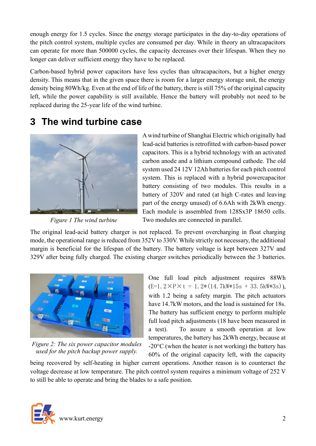enough energy for 1.5 cycles. Since the energy storage participates in the day-to-day operations of the pitch control system, multiple cycles are consumed per day. While in theory an ultracapacitors can operate for more than 500000 cycles, the capacity decreases over their lifespan. When they no longer can deliver sufficient energy they have to be replaced.

Carbon-based hybrid power capacitors have less cycles than ultracapacitors, but a higher energy density. This means that in the given space there is room for a larger energy storage unit, the energy density being 80Wh/kg. Even at the end of life of the battery, there is still 75% of the original capacity left, while the power capability is still available. Hence the battery will probably not need to be replaced during the 25-year life of the wind turbine.

#### **3 The wind turbine case**



*Figure 1 The wind turbine*

A wind turbine of Shanghai Electric which originally had lead-acid batteries is retrofitted with carbon-based power capacitors. This is a hybrid technology with an activated carbon anode and a lithium compound cathode. The old system used 24 12V 12Ah batteries for each pitch control system. This is replaced with a hybrid powercapacitor battery consisting of two modules. This results in a battery of 320V and rated (at high C-rates and leaving part of the energy unused) of 6.6Ah with 2kWh energy. Each module is assembled from 128Sx3P 18650 cells. Two modules are connected in parallel.

The original lead-acid battery charger is not replaced. To prevent overcharging in float charging mode, the operational range is reduced from 352V to 330V. While strictly not necessary, the additional margin is beneficial for the lifespan of the battery. The battery voltage is kept between 327V and 329V after being fully charged. The existing charger switches periodically between the 3 batteries.



*Figure 2: The six power capacitor modules used for the pitch backup power supply.*

One full load pitch adjustment requires 88Wh  $(E=1.2\times P\times t = 1.2*(14.7kW*15s + 33.5kW*3s)),$ with 1.2 being a safety margin. The pitch actuators have 14.7kW motors, and the load is sustained for 18s. The battery has sufficient energy to perform multiple full load pitch adjustments (18 have been measured in a test). To assure a smooth operation at low temperatures, the battery has 2kWh energy, because at  $-20\degree$ C (when the heater is not working) the battery has 60% of the original capacity left, with the capacity

being recovered by self-heating in higher current operations. Another reason is to counteract the voltage decrease at low temperature. The pitch control system requires a minimum voltage of 252 V to still be able to operate and bring the blades to a safe position.

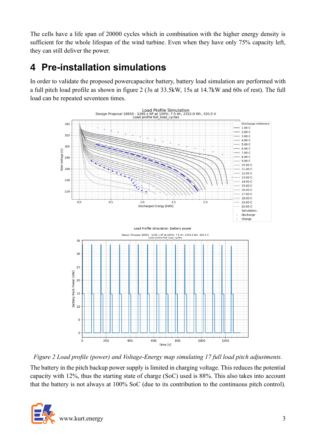The cells have a life span of 20000 cycles which in combination with the higher energy density is sufficient for the whole lifespan of the wind turbine. Even when they have only 75% capacity left, they can still deliver the power.

## **4 Pre-installation simulations**

In order to validate the proposed powercapacitor battery, battery load simulation are performed with a full pitch load profile as shown in figure 2 (3s at 33.5kW, 15s at 14.7kW and 60s of rest). The full load can be repeated seventeen times.



*Figure 2 Load profile (power) and Voltage-Energy map simulating 17 full load pitch adjustments.*

The battery in the pitch backup power supply is limited in charging voltage. This reduces the potential capacity with 12%, thus the starting state of charge (SoC) used is 88%. This also takes into account that the battery is not always at 100% SoC (due to its contribution to the continuous pitch control).

![](_page_2_Picture_6.jpeg)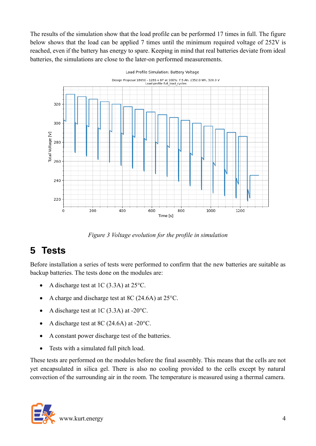The results of the simulation show that the load profile can be performed 17 times in full. The figure below shows that the load can be applied 7 times until the minimum required voltage of 252V is reached, even if the battery has energy to spare. Keeping in mind that real batteries deviate from ideal batteries, the simulations are close to the later-on performed measurements.

![](_page_3_Figure_1.jpeg)

*Figure 3 Voltage evolution for the profile in simulation*

## **5 Tests**

Before installation a series of tests were performed to confirm that the new batteries are suitable as backup batteries. The tests done on the modules are:

- A discharge test at 1C (3.3A) at 25°C.
- A charge and discharge test at 8C (24.6A) at 25 °C.
- A discharge test at 1C  $(3.3A)$  at -20 $\degree$ C.
- A discharge test at 8C (24.6A) at -20 $^{\circ}$ C.
- A constant power discharge test of the batteries.
- Tests with a simulated full pitch load.

These tests are performed on the modules before the final assembly. This means that the cells are not yet encapsulated in silica gel. There is also no cooling provided to the cells except by natural convection of the surrounding air in the room. The temperature is measured using a thermal camera.

![](_page_3_Picture_12.jpeg)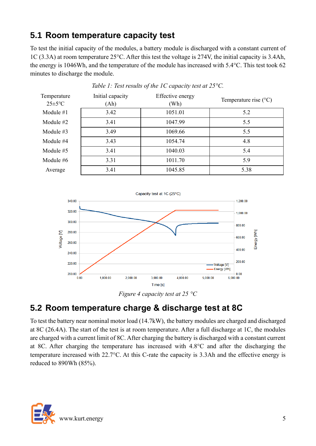#### **5.1 Room temperature capacity test**

To test the initial capacity of the modules, a battery module is discharged with a constant current of 1C (3.3A) at room temperature 25°C. After this test the voltage is 274V, the initial capacity is 3.4Ah, the energy is 1046Wh, and the temperature of the module has increased with 5.4°C. This test took 62 minutes to discharge the module.

| Temperature<br>$25 \pm 5$ °C | Initial capacity<br>(Ah) | Effective energy<br>(Wh) | Temperature rise $(^{\circ}C)$ |
|------------------------------|--------------------------|--------------------------|--------------------------------|
| Module $#1$                  | 3.42                     | 1051.01                  | 5.2                            |
| Module $#2$                  | 3.41                     | 1047.99                  | 5.5                            |
| Module $#3$                  | 3.49                     | 1069.66                  | 5.5                            |
| Module #4                    | 3.43                     | 1054.74                  | 4.8                            |
| Module $#5$                  | 3.41                     | 1040.03                  | 5.4                            |
| Module $#6$                  | 3.31                     | 1011.70                  | 5.9                            |
| Average                      | 3.41                     | 1045.85                  | 5.38                           |

*Table 1: Test results of the 1C capacity test at 25°C.*

![](_page_4_Figure_4.jpeg)

![](_page_4_Figure_5.jpeg)

#### **5.2 Room temperature charge & discharge test at 8C**

To test the battery near nominal motor load (14.7kW), the battery modules are charged and discharged at 8C (26.4A). The start of the test is at room temperature. After a full discharge at 1C, the modules are charged with a current limit of 8C. After charging the battery is discharged with a constant current at 8C. After charging the temperature has increased with 4.8°C and after the discharging the temperature increased with 22.7°C. At this C-rate the capacity is 3.3Ah and the effective energy is reduced to 890Wh (85%).

![](_page_4_Picture_8.jpeg)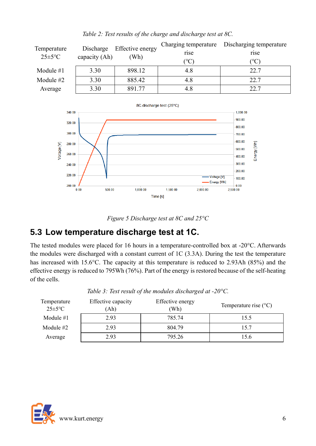| Temperature<br>$25 \pm 5$ °C | Discharge<br>capacity (Ah) | Effective energy<br>(Wh) | Charging temperature<br>rise<br>$({}^\circ\mathrm{C})$ | Discharging temperature<br>rise<br>$\rm ^{(o}C)$ |
|------------------------------|----------------------------|--------------------------|--------------------------------------------------------|--------------------------------------------------|
| Module $#1$                  | 3.30                       | 898.12                   | 4.8                                                    | 22.7                                             |
| Module $#2$                  | 3.30                       | 885.42                   | 4.8                                                    | 22.7                                             |
| Average                      | 3.30                       | 891.77                   | 4.8                                                    | 22.7                                             |

#### *Table 2: Test results of the charge and discharge test at 8C.*

![](_page_5_Figure_2.jpeg)

![](_page_5_Figure_3.jpeg)

#### **5.3 Low temperature discharge test at 1C.**

The tested modules were placed for 16 hours in a temperature-controlled box at -20°C. Afterwards the modules were discharged with a constant current of 1C (3.3A). During the test the temperature has increased with 15.6°C. The capacity at this temperature is reduced to 2.93Ah (85%) and the effective energy is reduced to 795Wh (76%). Part of the energy is restored because of the self-heating of the cells.

| Temperature<br>$25 \pm 5$ °C | Effective capacity<br>Ah) | Effective energy<br>Wh) | Temperature rise $(^{\circ}C)$ |
|------------------------------|---------------------------|-------------------------|--------------------------------|
| Module $#1$                  | 2.93                      | 785.74                  | 15.5                           |
| Module #2                    | 2.93                      | 804.79                  | 15.7                           |
| Average                      | 2.93                      | 795.26                  | 15.6                           |

*Table 3: Test result of the modules discharged at -20°C.*

![](_page_5_Picture_8.jpeg)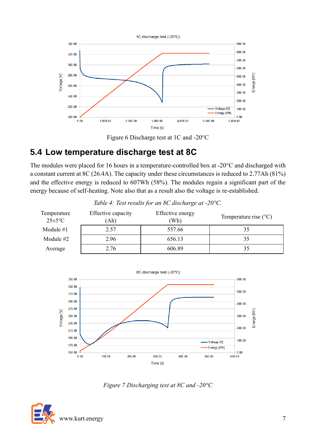![](_page_6_Figure_0.jpeg)

![](_page_6_Figure_1.jpeg)

#### **5.4 Low temperature discharge test at 8C**

The modules were placed for 16 hours in a temperature-controlled box at -20°C and discharged with a constant current at 8C (26.4A). The capacity under these circumstances is reduced to 2.77Ah (81%) and the effective energy is reduced to 607Wh (58%). The modules regain a significant part of the energy because of self-heating. Note also that as a result also the voltage is re-established.

| Temperature<br>$25 \pm 5$ °C | Effective capacity<br>Ah) | Effective energy<br>Wh) | Temperature rise $(^{\circ}C)$ |
|------------------------------|---------------------------|-------------------------|--------------------------------|
| Module #1                    | 2.57                      | 557.66                  |                                |
| Module $#2$                  | 2.96                      | 656.13                  | 35                             |
| Average                      | 2.76                      | 606.89                  |                                |

*Table 4: Test results for an 8C discharge at -20°C.*

![](_page_6_Figure_6.jpeg)

*Figure 7 Discharging test at 8C and -20°C*

![](_page_6_Picture_8.jpeg)